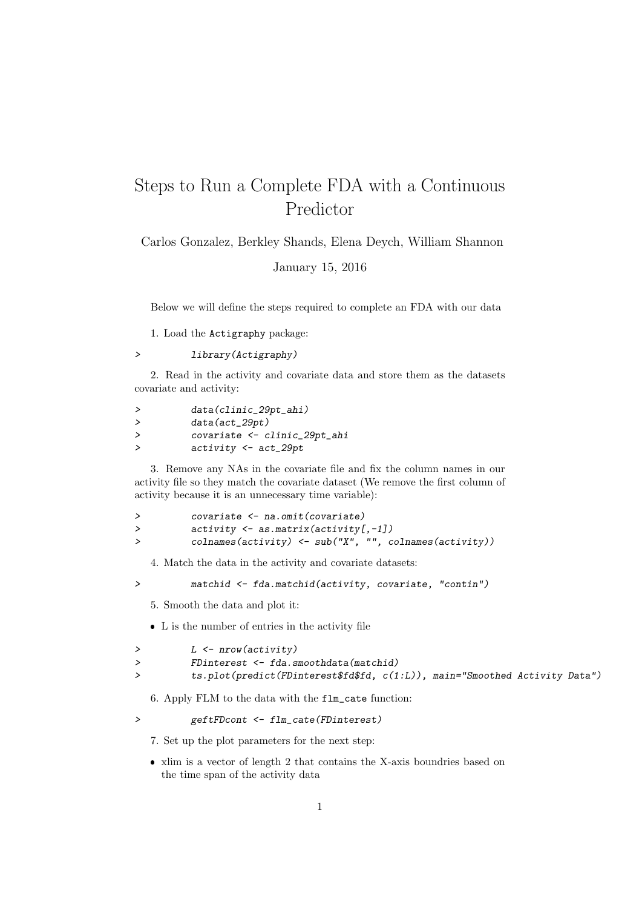## Steps to Run a Complete FDA with a Continuous Predictor

Carlos Gonzalez, Berkley Shands, Elena Deych, William Shannon

January 15, 2016

Below we will define the steps required to complete an FDA with our data

1. Load the Actigraphy package:

## > library(Actigraphy)

2. Read in the activity and covariate data and store them as the datasets covariate and activity:

| > | data(clinic_29pt_ahi)          |
|---|--------------------------------|
| ゝ | $data(act_29pt)$               |
| ゝ | covariate <- clinic_29pt_ahi   |
| ゝ | $activity \leftarrow act_29pt$ |
|   |                                |

3. Remove any NAs in the covariate file and fix the column names in our activity file so they match the covariate dataset (We remove the first column of activity because it is an unnecessary time variable):

|   | covariate <- na.omit(covariate)                                                             |
|---|---------------------------------------------------------------------------------------------|
|   | $activity \leftarrow$ as.matrix(activity[,-1])                                              |
| ゝ | $\text{colnames}(\text{activity}) \leftarrow \text{sub("X", "", columns}(\text{accuracy}))$ |

4. Match the data in the activity and covariate datasets:

> matchid <- fda.matchid(activity, covariate, "contin")

5. Smooth the data and plot it:

L is the number of entries in the activity file

```
> L <- nrow(activity)
> FDinterest <- fda.smoothdata(matchid)
> ts.plot(predict(FDinterest$fd$fd, c(1:L)), main="Smoothed Activity Data")
```
6. Apply FLM to the data with the flm\_cate function:

> geftFDcont <- flm\_cate(FDinterest)

7. Set up the plot parameters for the next step:

 xlim is a vector of length 2 that contains the X-axis boundries based on the time span of the activity data